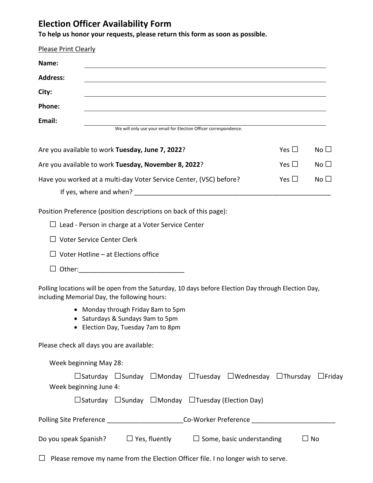## **Election Officer Availability Form**

**To help us honor your requests, please return this form as soon as possible.**

| <b>Please Print Clearly</b>                                                                                  |                                                                                          |                                            |                                                          |                                                                  |                                                                                                           |               |              |
|--------------------------------------------------------------------------------------------------------------|------------------------------------------------------------------------------------------|--------------------------------------------|----------------------------------------------------------|------------------------------------------------------------------|-----------------------------------------------------------------------------------------------------------|---------------|--------------|
| Name:                                                                                                        |                                                                                          |                                            |                                                          |                                                                  | <u> 1989 - Johann Stein, fransk politik (f. 1989)</u>                                                     |               |              |
| <b>Address:</b>                                                                                              |                                                                                          |                                            |                                                          |                                                                  |                                                                                                           |               |              |
| City:                                                                                                        |                                                                                          |                                            |                                                          |                                                                  |                                                                                                           |               |              |
| Phone:                                                                                                       |                                                                                          |                                            |                                                          |                                                                  |                                                                                                           |               |              |
| Email:                                                                                                       |                                                                                          |                                            |                                                          | We will only use your email for Election Officer correspondence. |                                                                                                           |               |              |
| Yes $\square$<br>Are you available to work Tuesday, June 7, 2022?                                            |                                                                                          |                                            |                                                          |                                                                  |                                                                                                           |               | No $\square$ |
| Are you available to work Tuesday, November 8, 2022?                                                         |                                                                                          |                                            |                                                          |                                                                  |                                                                                                           | Yes $\Box$    | No $\square$ |
| Have you worked at a multi-day Voter Service Center, (VSC) before?                                           |                                                                                          |                                            |                                                          |                                                                  |                                                                                                           | Yes $\square$ | No $\square$ |
|                                                                                                              |                                                                                          |                                            |                                                          |                                                                  |                                                                                                           |               |              |
| Position Preference (position descriptions on back of this page):                                            |                                                                                          |                                            | $\Box$ Lead - Person in charge at a Voter Service Center |                                                                  |                                                                                                           |               |              |
| $\Box$ Voter Service Center Clerk                                                                            |                                                                                          |                                            |                                                          |                                                                  |                                                                                                           |               |              |
|                                                                                                              |                                                                                          | $\Box$ Voter Hotline – at Elections office |                                                          |                                                                  |                                                                                                           |               |              |
|                                                                                                              |                                                                                          |                                            |                                                          |                                                                  |                                                                                                           |               |              |
| including Memorial Day, the following hours:                                                                 |                                                                                          |                                            |                                                          |                                                                  | Polling locations will be open from the Saturday, 10 days before Election Day through Election Day,       |               |              |
| • Monday through Friday 8am to 5pm<br>• Saturdays & Sundays 9am to 5pm<br>• Election Day, Tuesday 7am to 8pm |                                                                                          |                                            |                                                          |                                                                  |                                                                                                           |               |              |
| Please check all days you are available:                                                                     |                                                                                          |                                            |                                                          |                                                                  |                                                                                                           |               |              |
| Week beginning May 28:                                                                                       |                                                                                          |                                            |                                                          |                                                                  |                                                                                                           |               |              |
| Week beginning June 4:                                                                                       |                                                                                          |                                            |                                                          |                                                                  | $\Box$ Saturday $\Box$ Sunday $\Box$ Monday $\Box$ Tuesday $\Box$ Wednesday $\Box$ Thursday $\Box$ Friday |               |              |
|                                                                                                              |                                                                                          |                                            |                                                          |                                                                  | $\Box$ Saturday $\Box$ Sunday $\Box$ Monday $\Box$ Tuesday (Election Day)                                 |               |              |
| Polling Site Preference ___________________________Co-Worker Preference ___________________________          |                                                                                          |                                            |                                                          |                                                                  |                                                                                                           |               |              |
|                                                                                                              | $\Box$ No<br>Do you speak Spanish? $\Box$ Yes, fluently $\Box$ Some, basic understanding |                                            |                                                          |                                                                  |                                                                                                           |               |              |
|                                                                                                              |                                                                                          |                                            |                                                          |                                                                  | Please remove my name from the Election Officer file. I no longer wish to serve.                          |               |              |